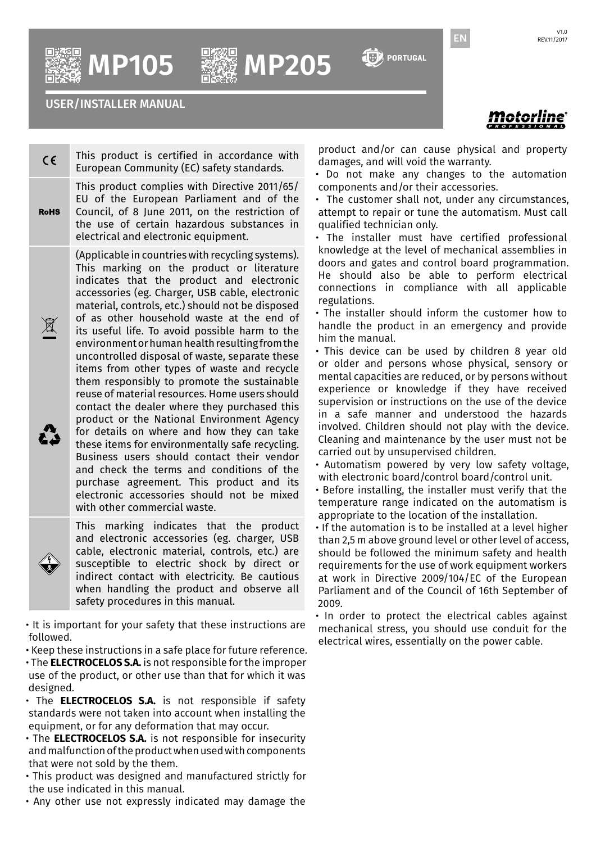$\left[\left[\cdot\right]\right]$  portugal

EN

**MP105 MP205**

USER/INSTALLER MANUAL

Intorline

This product is certified in accordance with  $\epsilon$ European Community (EC) safety standards. This product complies with Directive 2011/65/ EU of the European Parliament and of the **RoHS** Council, of 8 June 2011, on the restriction of the use of certain hazardous substances in electrical and electronic equipment. (Applicable in countries with recycling systems). This marking on the product or literature indicates that the product and electronic accessories (eg. Charger, USB cable, electronic material, controls, etc.) should not be disposed of as other household waste at the end of  $\boxtimes$ its useful life. To avoid possible harm to the environment or human health resulting from the uncontrolled disposal of waste, separate these items from other types of waste and recycle them responsibly to promote the sustainable reuse of material resources. Home users should contact the dealer where they purchased this product or the National Environment Agency for details on where and how they can take Z. these items for environmentally safe recycling. Business users should contact their vendor and check the terms and conditions of the purchase agreement. This product and its electronic accessories should not be mixed with other commercial waste.



This marking indicates that the product and electronic accessories (eg. charger, USB cable, electronic material, controls, etc.) are susceptible to electric shock by direct or indirect contact with electricity. Be cautious when handling the product and observe all safety procedures in this manual.

• It is important for your safety that these instructions are followed.

- Keep these instructions in a safe place for future reference.
- The **ELECTROCELOS S.A.** is not responsible for the improper use of the product, or other use than that for which it was designed.
- The **ELECTROCELOS S.A.** is not responsible if safety standards were not taken into account when installing the equipment, or for any deformation that may occur.
- The **ELECTROCELOS S.A.** is not responsible for insecurity and malfunction of the product when used with components that were not sold by the them.
- This product was designed and manufactured strictly for the use indicated in this manual.
- Any other use not expressly indicated may damage the

product and/or can cause physical and property damages, and will void the warranty.

- Do not make any changes to the automation components and/or their accessories.
- The customer shall not, under any circumstances, attempt to repair or tune the automatism. Must call qualified technician only.
- The installer must have certified professional knowledge at the level of mechanical assemblies in doors and gates and control board programmation. He should also be able to perform electrical connections in compliance with all applicable regulations.
- The installer should inform the customer how to handle the product in an emergency and provide him the manual.
- This device can be used by children 8 year old or older and persons whose physical, sensory or mental capacities are reduced, or by persons without experience or knowledge if they have received supervision or instructions on the use of the device in a safe manner and understood the hazards involved. Children should not play with the device. Cleaning and maintenance by the user must not be carried out by unsupervised children.
- Automatism powered by very low safety voltage, with electronic board/control board/control unit.
- Before installing, the installer must verify that the temperature range indicated on the automatism is appropriate to the location of the installation.
- If the automation is to be installed at a level higher than 2,5 m above ground level or other level of access, should be followed the minimum safety and health requirements for the use of work equipment workers at work in Directive 2009/104/EC of the European Parliament and of the Council of 16th September of 2009.
- In order to protect the electrical cables against mechanical stress, you should use conduit for the electrical wires, essentially on the power cable.